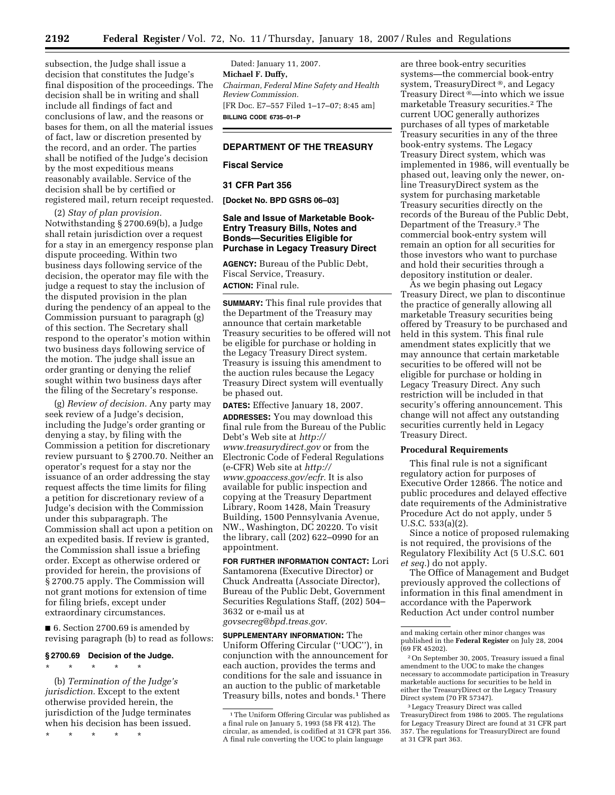subsection, the Judge shall issue a decision that constitutes the Judge's final disposition of the proceedings. The decision shall be in writing and shall include all findings of fact and conclusions of law, and the reasons or bases for them, on all the material issues of fact, law or discretion presented by the record, and an order. The parties shall be notified of the Judge's decision by the most expeditious means reasonably available. Service of the decision shall be by certified or registered mail, return receipt requested.

(2) *Stay of plan provision.*  Notwithstanding § 2700.69(b), a Judge shall retain jurisdiction over a request for a stay in an emergency response plan dispute proceeding. Within two business days following service of the decision, the operator may file with the judge a request to stay the inclusion of the disputed provision in the plan during the pendency of an appeal to the Commission pursuant to paragraph (g) of this section. The Secretary shall respond to the operator's motion within two business days following service of the motion. The judge shall issue an order granting or denying the relief sought within two business days after the filing of the Secretary's response.

(g) *Review of decision.* Any party may seek review of a Judge's decision, including the Judge's order granting or denying a stay, by filing with the Commission a petition for discretionary review pursuant to § 2700.70. Neither an operator's request for a stay nor the issuance of an order addressing the stay request affects the time limits for filing a petition for discretionary review of a Judge's decision with the Commission under this subparagraph. The Commission shall act upon a petition on an expedited basis. If review is granted, the Commission shall issue a briefing order. Except as otherwise ordered or provided for herein, the provisions of § 2700.75 apply. The Commission will not grant motions for extension of time for filing briefs, except under extraordinary circumstances.

■ 6. Section 2700.69 is amended by revising paragraph (b) to read as follows:

### **§ 2700.69 Decision of the Judge.**

\* \* \* \* \*

(b) *Termination of the Judge's jurisdiction.* Except to the extent otherwise provided herein, the jurisdiction of the Judge terminates when his decision has been issued.

\* \* \* \* \*

Dated: January 11, 2007. **Michael F. Duffy,**  *Chairman, Federal Mine Safety and Health Review Commission.*  [FR Doc. E7–557 Filed 1–17–07; 8:45 am] **BILLING CODE 6735–01–P** 

# **DEPARTMENT OF THE TREASURY**

### **Fiscal Service**

### **31 CFR Part 356**

**[Docket No. BPD GSRS 06–03]** 

# **Sale and Issue of Marketable Book-Entry Treasury Bills, Notes and Bonds—Securities Eligible for Purchase in Legacy Treasury Direct**

**AGENCY:** Bureau of the Public Debt, Fiscal Service, Treasury. **ACTION:** Final rule.

**SUMMARY:** This final rule provides that the Department of the Treasury may announce that certain marketable Treasury securities to be offered will not be eligible for purchase or holding in the Legacy Treasury Direct system. Treasury is issuing this amendment to the auction rules because the Legacy Treasury Direct system will eventually be phased out.

**DATES:** Effective January 18, 2007.

**ADDRESSES:** You may download this final rule from the Bureau of the Public Debt's Web site at *[http://](http://www.treasurydirect.gov)  [www.treasurydirect.gov](http://www.treasurydirect.gov)* or from the Electronic Code of Federal Regulations (e-CFR) Web site at *[http://](http://www.gpoaccess.gov/ecfr)  [www.gpoaccess.gov/ecfr.](http://www.gpoaccess.gov/ecfr)* It is also available for public inspection and copying at the Treasury Department Library, Room 1428, Main Treasury Building, 1500 Pennsylvania Avenue, NW., Washington, DC 20220. To visit the library, call (202) 622–0990 for an appointment.

**FOR FURTHER INFORMATION CONTACT:** Lori Santamorena (Executive Director) or Chuck Andreatta (Associate Director), Bureau of the Public Debt, Government Securities Regulations Staff, (202) 504– 3632 or e-mail us at *[govsecreg@bpd.treas.gov.](mailto:govsecreg@bpd.treas.gov)* 

**SUPPLEMENTARY INFORMATION:** The Uniform Offering Circular (''UOC''), in conjunction with the announcement for each auction, provides the terms and conditions for the sale and issuance in an auction to the public of marketable Treasury bills, notes and bonds.<sup>1</sup> There

are three book-entry securities systems—the commercial book-entry system, TreasuryDirect<sup>®</sup>, and Legacy Treasury Direct<sup>®</sup>—into which we issue marketable Treasury securities.2 The current UOC generally authorizes purchases of all types of marketable Treasury securities in any of the three book-entry systems. The Legacy Treasury Direct system, which was implemented in 1986, will eventually be phased out, leaving only the newer, online TreasuryDirect system as the system for purchasing marketable Treasury securities directly on the records of the Bureau of the Public Debt, Department of the Treasury.3 The commercial book-entry system will remain an option for all securities for those investors who want to purchase and hold their securities through a depository institution or dealer.

As we begin phasing out Legacy Treasury Direct, we plan to discontinue the practice of generally allowing all marketable Treasury securities being offered by Treasury to be purchased and held in this system. This final rule amendment states explicitly that we may announce that certain marketable securities to be offered will not be eligible for purchase or holding in Legacy Treasury Direct. Any such restriction will be included in that security's offering announcement. This change will not affect any outstanding securities currently held in Legacy Treasury Direct.

### **Procedural Requirements**

This final rule is not a significant regulatory action for purposes of Executive Order 12866. The notice and public procedures and delayed effective date requirements of the Administrative Procedure Act do not apply, under 5 U.S.C. 533(a)(2).

Since a notice of proposed rulemaking is not required, the provisions of the Regulatory Flexibility Act (5 U.S.C. 601 *et seq.*) do not apply.

The Office of Management and Budget previously approved the collections of information in this final amendment in accordance with the Paperwork Reduction Act under control number

3Legacy Treasury Direct was called TreasuryDirect from 1986 to 2005. The regulations for Legacy Treasury Direct are found at 31 CFR part 357. The regulations for TreasuryDirect are found at 31 CFR part 363.

<sup>1</sup>The Uniform Offering Circular was published as a final rule on January 5, 1993 (58 FR 412). The circular, as amended, is codified at 31 CFR part 356. A final rule converting the UOC to plain language

and making certain other minor changes was published in the **Federal Register** on July 28, 2004 (69 FR 45202).

<sup>2</sup>On September 30, 2005, Treasury issued a final amendment to the UOC to make the changes necessary to accommodate participation in Treasury marketable auctions for securities to be held in either the TreasuryDirect or the Legacy Treasury Direct system (70 FR 57347).